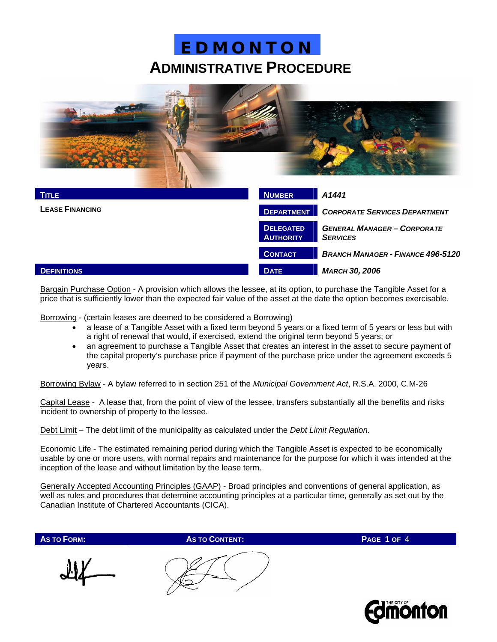

| <b>TITLE</b>           | <b>NUMBER</b>                        | A1441                                                 |  |
|------------------------|--------------------------------------|-------------------------------------------------------|--|
| <b>LEASE FINANCING</b> | <b>DEPARTMENT</b>                    | <b>CORPORATE SERVICES DEPARTMENT</b>                  |  |
|                        | <b>DELEGATED</b><br><b>AUTHORITY</b> | <b>GENERAL MANAGER - CORPORATE</b><br><b>SERVICES</b> |  |
|                        | <b>CONTACT</b>                       | <b>BRANCH MANAGER - FINANCE 496-5120</b>              |  |
| <b>DEFINITIONS</b>     | <b>DATE</b>                          | <b>MARCH 30, 2006</b>                                 |  |

Bargain Purchase Option - A provision which allows the lessee, at its option, to purchase the Tangible Asset for a price that is sufficiently lower than the expected fair value of the asset at the date the option becomes exercisable.

Borrowing - (certain leases are deemed to be considered a Borrowing)

- a lease of a Tangible Asset with a fixed term beyond 5 years or a fixed term of 5 years or less but with a right of renewal that would, if exercised, extend the original term beyond 5 years; or
- an agreement to purchase a Tangible Asset that creates an interest in the asset to secure payment of the capital property's purchase price if payment of the purchase price under the agreement exceeds 5 years.

Borrowing Bylaw - A bylaw referred to in section 251 of the *Municipal Government Act*, R.S.A. 2000, C.M-26

Capital Lease - A lease that, from the point of view of the lessee, transfers substantially all the benefits and risks incident to ownership of property to the lessee.

Debt Limit – The debt limit of the municipality as calculated under the *Debt Limit Regulation.*

Economic Life - The estimated remaining period during which the Tangible Asset is expected to be economically usable by one or more users, with normal repairs and maintenance for the purpose for which it was intended at the inception of the lease and without limitation by the lease term.

Generally Accepted Accounting Principles (GAAP) - Broad principles and conventions of general application, as well as rules and procedures that determine accounting principles at a particular time, generally as set out by the Canadian Institute of Chartered Accountants (CICA).

**AS TO FORM: AS TO CONTENT: PAGE 1 OF** 4

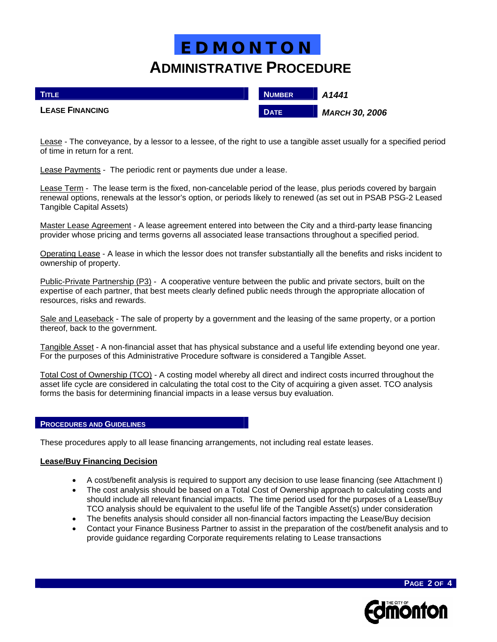| <b>TITLE</b>           | <b>NUMBER</b> | A1441                 |
|------------------------|---------------|-----------------------|
| <b>LEASE FINANCING</b> | <b>DATE</b>   | <b>MARCH 30, 2006</b> |

Lease - The conveyance, by a lessor to a lessee, of the right to use a tangible asset usually for a specified period of time in return for a rent.

Lease Payments - The periodic rent or payments due under a lease.

Lease Term - The lease term is the fixed, non-cancelable period of the lease, plus periods covered by bargain renewal options, renewals at the lessor's option, or periods likely to renewed (as set out in PSAB PSG-2 Leased Tangible Capital Assets)

Master Lease Agreement - A lease agreement entered into between the City and a third-party lease financing provider whose pricing and terms governs all associated lease transactions throughout a specified period.

Operating Lease - A lease in which the lessor does not transfer substantially all the benefits and risks incident to ownership of property.

Public-Private Partnership (P3) - A cooperative venture between the public and private sectors, built on the expertise of each partner, that best meets clearly defined public needs through the appropriate allocation of resources, risks and rewards.

Sale and Leaseback - The sale of property by a government and the leasing of the same property, or a portion thereof, back to the government.

Tangible Asset - A non-financial asset that has physical substance and a useful life extending beyond one year. For the purposes of this Administrative Procedure software is considered a Tangible Asset.

Total Cost of Ownership (TCO) - A costing model whereby all direct and indirect costs incurred throughout the asset life cycle are considered in calculating the total cost to the City of acquiring a given asset. TCO analysis forms the basis for determining financial impacts in a lease versus buy evaluation.

#### **PROCEDURES AND GUIDELINES**

These procedures apply to all lease financing arrangements, not including real estate leases.

## **Lease/Buy Financing Decision**

- A cost/benefit analysis is required to support any decision to use lease financing (see Attachment I)
- The cost analysis should be based on a Total Cost of Ownership approach to calculating costs and should include all relevant financial impacts. The time period used for the purposes of a Lease/Buy TCO analysis should be equivalent to the useful life of the Tangible Asset(s) under consideration
- The benefits analysis should consider all non-financial factors impacting the Lease/Buy decision
- Contact your Finance Business Partner to assist in the preparation of the cost/benefit analysis and to provide guidance regarding Corporate requirements relating to Lease transactions



**PAGE 2 OF 4**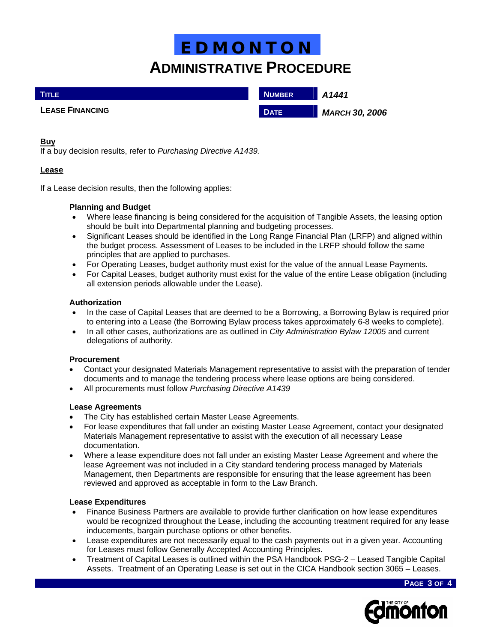| <b>TITLE</b>           | <b>NUMBER</b> | A1441                 |
|------------------------|---------------|-----------------------|
| <b>LEASE FINANCING</b> | <b>DATE</b>   | <b>MARCH 30, 2006</b> |

### **Buy**

If a buy decision results, refer to *Purchasing Directive A1439.*

## **Lease**

If a Lease decision results, then the following applies:

## **Planning and Budget**

- Where lease financing is being considered for the acquisition of Tangible Assets, the leasing option should be built into Departmental planning and budgeting processes.
- Significant Leases should be identified in the Long Range Financial Plan (LRFP) and aligned within the budget process. Assessment of Leases to be included in the LRFP should follow the same principles that are applied to purchases.
- For Operating Leases, budget authority must exist for the value of the annual Lease Payments.
- For Capital Leases, budget authority must exist for the value of the entire Lease obligation (including all extension periods allowable under the Lease).

### **Authorization**

- In the case of Capital Leases that are deemed to be a Borrowing, a Borrowing Bylaw is required prior to entering into a Lease (the Borrowing Bylaw process takes approximately 6-8 weeks to complete).
- In all other cases, authorizations are as outlined in *City Administration Bylaw 12005* and current delegations of authority.

#### **Procurement**

- Contact your designated Materials Management representative to assist with the preparation of tender documents and to manage the tendering process where lease options are being considered.
- All procurements must follow *Purchasing Directive A1439*

## **Lease Agreements**

- The City has established certain Master Lease Agreements.
- For lease expenditures that fall under an existing Master Lease Agreement, contact your designated Materials Management representative to assist with the execution of all necessary Lease documentation.
- Where a lease expenditure does not fall under an existing Master Lease Agreement and where the lease Agreement was not included in a City standard tendering process managed by Materials Management, then Departments are responsible for ensuring that the lease agreement has been reviewed and approved as acceptable in form to the Law Branch.

#### **Lease Expenditures**

- Finance Business Partners are available to provide further clarification on how lease expenditures would be recognized throughout the Lease, including the accounting treatment required for any lease inducements, bargain purchase options or other benefits.
- Lease expenditures are not necessarily equal to the cash payments out in a given year. Accounting for Leases must follow Generally Accepted Accounting Principles.
- Treatment of Capital Leases is outlined within the PSA Handbook PSG-2 Leased Tangible Capital Assets. Treatment of an Operating Lease is set out in the CICA Handbook section 3065 – Leases.

**PAGE 3 OF 4**